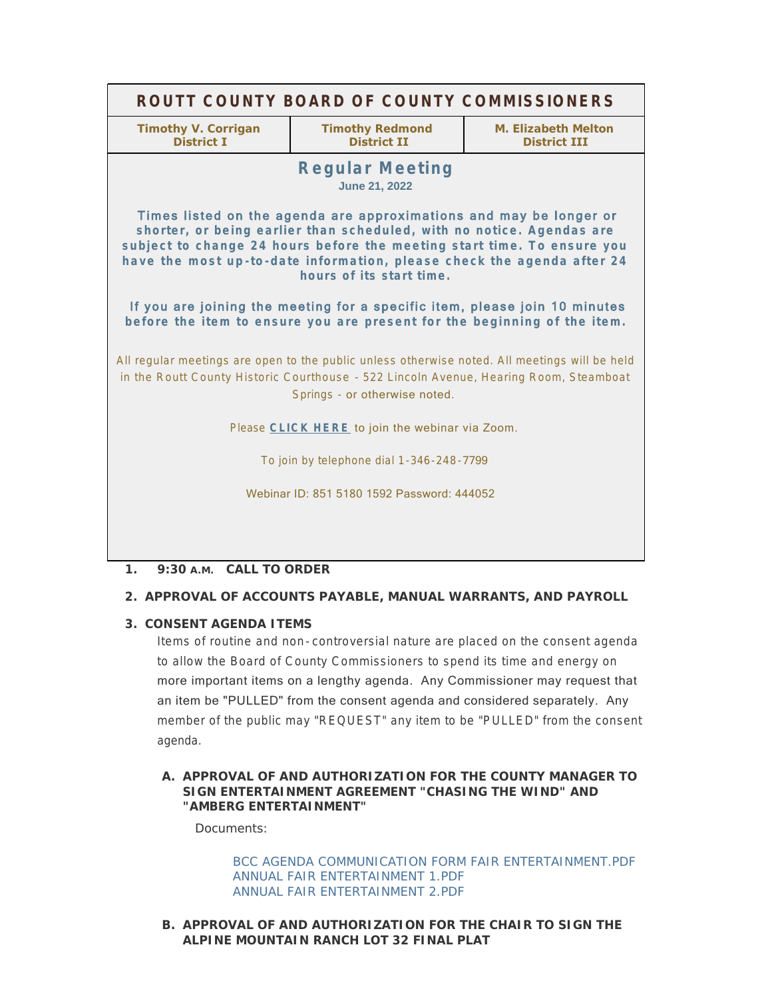| ROUTT COUNTY BOARD OF COUNTY COMMISSIONERS                                                                                                                                                                                                                                                                                                                                                                                                                                             |                                              |                                            |
|----------------------------------------------------------------------------------------------------------------------------------------------------------------------------------------------------------------------------------------------------------------------------------------------------------------------------------------------------------------------------------------------------------------------------------------------------------------------------------------|----------------------------------------------|--------------------------------------------|
| <b>Timothy V. Corrigan</b><br><b>District I</b>                                                                                                                                                                                                                                                                                                                                                                                                                                        | <b>Timothy Redmond</b><br><b>District II</b> | M. Elizabeth Melton<br><b>District III</b> |
| <b>Regular Meeting</b><br><b>June 21, 2022</b>                                                                                                                                                                                                                                                                                                                                                                                                                                         |                                              |                                            |
| Times listed on the agenda are approximations and may be longer or<br>shorter, or being earlier than scheduled, with no notice. Agendas are<br>subject to change 24 hours before the meeting start time. To ensure you<br>have the most up-to-date information, please check the agenda after 24<br>hours of its start time.<br>If you are joining the meeting for a specific item, please join 10 minutes<br>before the item to ensure you are present for the beginning of the item. |                                              |                                            |
| All regular meetings are open to the public unless otherwise noted. All meetings will be held<br>in the Routt County Historic Courthouse - 522 Lincoln Avenue, Hearing Room, Steamboat<br>Springs - or otherwise noted.                                                                                                                                                                                                                                                                |                                              |                                            |
| Please CLICK HERE to join the webinar via Zoom.                                                                                                                                                                                                                                                                                                                                                                                                                                        |                                              |                                            |
| To join by telephone dial 1-346-248-7799                                                                                                                                                                                                                                                                                                                                                                                                                                               |                                              |                                            |
| Webinar ID: 851 5180 1592 Password: 444052                                                                                                                                                                                                                                                                                                                                                                                                                                             |                                              |                                            |
|                                                                                                                                                                                                                                                                                                                                                                                                                                                                                        |                                              |                                            |

# **CALL TO ORDER 1. 9:30 A.M.**

## **APPROVAL OF ACCOUNTS PAYABLE, MANUAL WARRANTS, AND PAYROLL 2.**

## **CONSENT AGENDA ITEMS 3.**

Items of routine and non- controversial nature are placed on the consent agenda to allow the Board of County Commissioners to spend its time and energy on more important items on a lengthy agenda. Any Commissioner may request that an item be "PULLED" from the consent agenda and considered separately. Any member of the public may "REQUEST" any item to be "PULLED" from the consent agenda.

## A. APPROVAL OF AND AUTHORIZATION FOR THE COUNTY MANAGER TO **SIGN ENTERTAINMENT AGREEMENT "CHASING THE WIND" AND "AMBERG ENTERTAINMENT"**

Documents:

[BCC AGENDA COMMUNICATION FORM FAIR ENTERTAINMENT.PDF](http://www.co.routt.co.us/AgendaCenter/ViewFile/Item/18718?fileID=16764) [ANNUAL FAIR ENTERTAINMENT 1.PDF](http://www.co.routt.co.us/AgendaCenter/ViewFile/Item/18718?fileID=16765) [ANNUAL FAIR ENTERTAINMENT 2.PDF](http://www.co.routt.co.us/AgendaCenter/ViewFile/Item/18718?fileID=16766)

## **APPROVAL OF AND AUTHORIZATION FOR THE CHAIR TO SIGN THE B. ALPINE MOUNTAIN RANCH LOT 32 FINAL PLAT**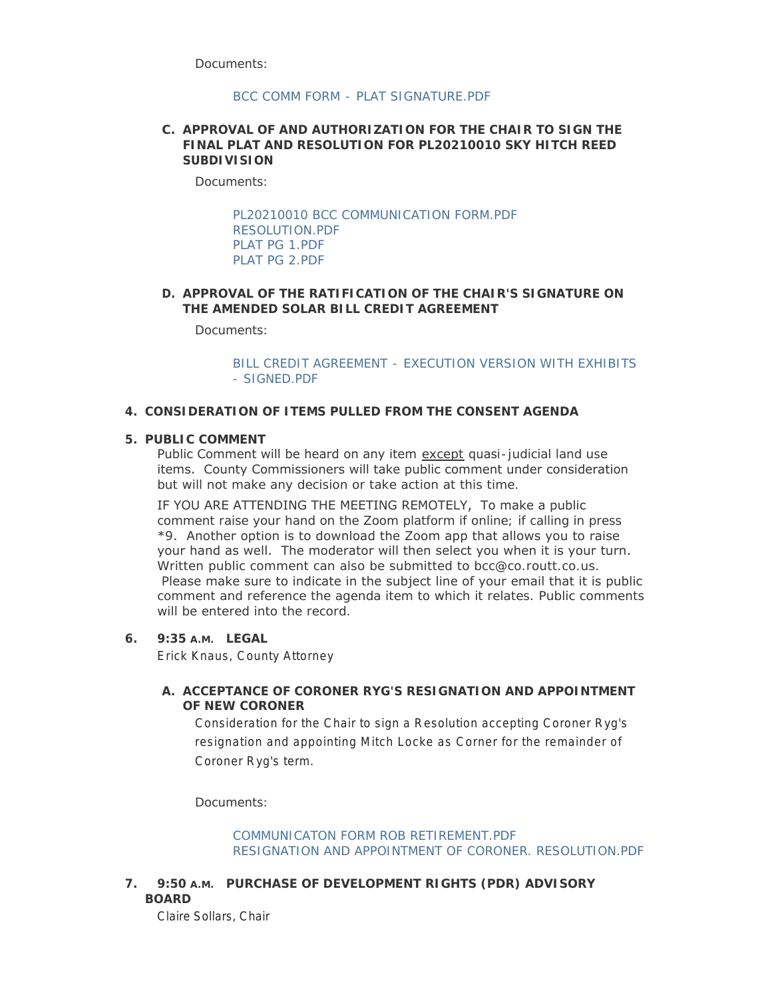Documents:

### [BCC COMM FORM - PLAT SIGNATURE.PDF](http://www.co.routt.co.us/AgendaCenter/ViewFile/Item/18714?fileID=16760)

### **APPROVAL OF AND AUTHORIZATION FOR THE CHAIR TO SIGN THE C. FINAL PLAT AND RESOLUTION FOR PL20210010 SKY HITCH REED SUBDIVISION**

Documents:

[PL20210010 BCC COMMUNICATION FORM.PDF](http://www.co.routt.co.us/AgendaCenter/ViewFile/Item/18710?fileID=16755) [RESOLUTION.PDF](http://www.co.routt.co.us/AgendaCenter/ViewFile/Item/18710?fileID=16756) [PLAT PG 1.PDF](http://www.co.routt.co.us/AgendaCenter/ViewFile/Item/18710?fileID=16757) [PLAT PG 2.PDF](http://www.co.routt.co.us/AgendaCenter/ViewFile/Item/18710?fileID=16758)

## **APPROVAL OF THE RATIFICATION OF THE CHAIR'S SIGNATURE ON D. THE AMENDED SOLAR BILL CREDIT AGREEMENT**

Documents:

[BILL CREDIT AGREEMENT - EXECUTION VERSION WITH EXHIBITS](http://www.co.routt.co.us/AgendaCenter/ViewFile/Item/18742?fileID=16775)  - SIGNED.PDF

### **CONSIDERATION OF ITEMS PULLED FROM THE CONSENT AGENDA 4.**

#### **PUBLIC COMMENT 5.**

Public Comment will be heard on any item except quasi-judicial land use items. County Commissioners will take public comment under consideration but will not make any decision or take action at this time.

IF YOU ARE ATTENDING THE MEETING REMOTELY, To make a public comment raise your hand on the Zoom platform if online; if calling in press \*9. Another option is to download the Zoom app that allows you to raise your hand as well. The moderator will then select you when it is your turn. Written public comment can also be submitted to bcc@co.routt.co.us. Please make sure to indicate in the subject line of your email that it is public comment and reference the agenda item to which it relates. Public comments will be entered into the record.

### **LEGAL 6. 9:35 A.M.**

Erick Knaus, County Attorney

## **ACCEPTANCE OF CORONER RYG'S RESIGNATION AND APPOINTMENT A. OF NEW CORONER**

Consideration for the Chair to sign a Resolution accepting Coroner Ryg's resignation and appointing Mitch Locke as Corner for the remainder of Coroner Ryg's term.

Documents:

[COMMUNICATON FORM ROB RETIREMENT.PDF](http://www.co.routt.co.us/AgendaCenter/ViewFile/Item/18709?fileID=16753) [RESIGNATION AND APPOINTMENT OF CORONER. RESOLUTION.PDF](http://www.co.routt.co.us/AgendaCenter/ViewFile/Item/18709?fileID=16754)

**PURCHASE OF DEVELOPMENT RIGHTS (PDR) ADVISORY 7. 9:50 A.M. BOARD**

Claire Sollars, Chair